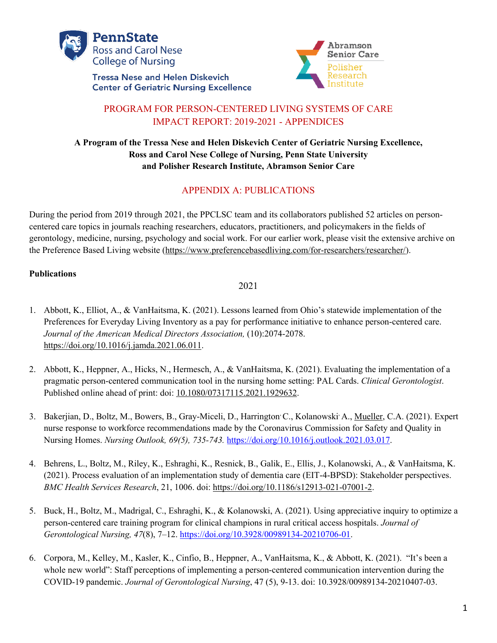

**Tressa Nese and Helen Diskevich Center of Geriatric Nursing Excellence** 



# PROGRAM FOR PERSON-CENTERED LIVING SYSTEMS OF CARE IMPACT REPORT: 2019-2021 - APPENDICES

## **A Program of the Tressa Nese and Helen Diskevich Center of Geriatric Nursing Excellence, Ross and Carol Nese College of Nursing, Penn State University and Polisher Research Institute, Abramson Senior Care**

# APPENDIX A: PUBLICATIONS

During the period from 2019 through 2021, the PPCLSC team and its collaborators published 52 articles on personcentered care topics in journals reaching researchers, educators, practitioners, and policymakers in the fields of gerontology, medicine, nursing, psychology and social work. For our earlier work, please visit the extensive archive on the Preference Based Living website (https://www.preferencebasedliving.com/for-researchers/researcher/).

## **Publications**

- 1. Abbott, K., Elliot, A., & VanHaitsma, K. (2021). Lessons learned from Ohio's statewide implementation of the Preferences for Everyday Living Inventory as a pay for performance initiative to enhance person-centered care. *Journal of the American Medical Directors Association,* (10):2074-2078. https://doi.org/10.1016/j.jamda.2021.06.011.
- 2. Abbott, K., Heppner, A., Hicks, N., Hermesch, A., & VanHaitsma, K. (2021). Evaluating the implementation of a pragmatic person-centered communication tool in the nursing home setting: PAL Cards. *Clinical Gerontologist*. Published online ahead of print: doi: 10.1080/07317115.2021.1929632.
- 3. Bakerjian, D., Boltz, M., Bowers, B., Gray-Miceli, D., Harrington C., Kolanowski A., Mueller, C.A. (2021). Expert nurse response to workforce recommendations made by the Coronavirus Commission for Safety and Quality in Nursing Homes. *Nursing Outlook, 69(5), 735-743.* https://doi.org/10.1016/j.outlook.2021.03.017.
- 4. Behrens, L., Boltz, M., Riley, K., Eshraghi, K., Resnick, B., Galik, E., Ellis, J., Kolanowski, A., & VanHaitsma, K. (2021). Process evaluation of an implementation study of dementia care (EIT-4-BPSD): Stakeholder perspectives. *BMC Health Services Research*, 21, 1006. doi: https://doi.org/10.1186/s12913-021-07001-2.
- 5. Buck, H., Boltz, M., Madrigal, C., Eshraghi, K., & Kolanowski, A. (2021). Using appreciative inquiry to optimize a person-centered care training program for clinical champions in rural critical access hospitals. *Journal of Gerontological Nursing, 47*(8), 7–12. https://doi.org/10.3928/00989134-20210706-01.
- 6. Corpora, M., Kelley, M., Kasler, K., Cinfio, B., Heppner, A., VanHaitsma, K., & Abbott, K. (2021). "It's been a whole new world": Staff perceptions of implementing a person-centered communication intervention during the COVID-19 pandemic. *Journal of Gerontological Nursing*, 47 (5), 9-13. doi: 10.3928/00989134-20210407-03.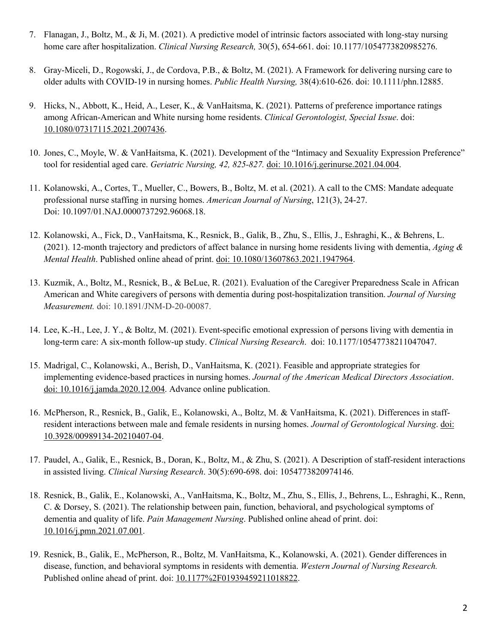- 7. Flanagan, J., Boltz, M., & Ji, M. (2021). A predictive model of intrinsic factors associated with long-stay nursing home care after hospitalization. *Clinical Nursing Research,* 30(5), 654-661. doi: 10.1177/1054773820985276.
- 8. Gray-Miceli, D., Rogowski, J., de Cordova, P.B., & Boltz, M. (2021). A Framework for delivering nursing care to older adults with COVID-19 in nursing homes. *Public Health Nursing,* 38(4):610-626. doi: 10.1111/phn.12885.
- 9. Hicks, N., Abbott, K., Heid, A., Leser, K., & VanHaitsma, K. (2021). Patterns of preference importance ratings among African-American and White nursing home residents. *Clinical Gerontologist, Special Issue*. doi: 10.1080/07317115.2021.2007436.
- 10. Jones, C., Moyle, W. & VanHaitsma, K. (2021). Development of the "Intimacy and Sexuality Expression Preference" tool for residential aged care. *Geriatric Nursing, 42, 825-827.* doi: 10.1016/j.gerinurse.2021.04.004.
- 11. Kolanowski, A., Cortes, T., Mueller, C., Bowers, B., Boltz, M. et al. (2021). A call to the CMS: Mandate adequate professional nurse staffing in nursing homes. *American Journal of Nursing*, 121(3), 24-27. Doi: 10.1097/01.NAJ.0000737292.96068.18.
- 12. Kolanowski, A., Fick, D., VanHaitsma, K., Resnick, B., Galik, B., Zhu, S., Ellis, J., Eshraghi, K., & Behrens, L. (2021). 12-month trajectory and predictors of affect balance in nursing home residents living with dementia, *Aging & Mental Health*. Published online ahead of print. doi: 10.1080/13607863.2021.1947964.
- 13. Kuzmik, A., Boltz, M., Resnick, B., & BeLue, R. (2021). Evaluation of the Caregiver Preparedness Scale in African American and White caregivers of persons with dementia during post-hospitalization transition. *Journal of Nursing Measurement.* doi: 10.1891/JNM-D-20-00087.
- 14. Lee, K.-H., Lee, J. Y., & Boltz, M. (2021). Event-specific emotional expression of persons living with dementia in long-term care: A six-month follow-up study. *Clinical Nursing Research*. doi: 10.1177/10547738211047047.
- 15. Madrigal, C., Kolanowski, A., Berish, D., VanHaitsma, K. (2021). Feasible and appropriate strategies for implementing evidence-based practices in nursing homes. *Journal of the American Medical Directors Association*. doi: 10.1016/j.jamda.2020.12.004. Advance online publication.
- 16. McPherson, R., Resnick, B., Galik, E., Kolanowski, A., Boltz, M. & VanHaitsma, K. (2021). Differences in staffresident interactions between male and female residents in nursing homes. *Journal of Gerontological Nursing*. doi: 10.3928/00989134-20210407-04.
- 17. Paudel, A., Galik, E., Resnick, B., Doran, K., Boltz, M., & Zhu, S. (2021). A Description of staff-resident interactions in assisted living. *Clinical Nursing Research*. 30(5):690-698. doi: 1054773820974146.
- 18. Resnick, B., Galik, E., Kolanowski, A., VanHaitsma, K., Boltz, M., Zhu, S., Ellis, J., Behrens, L., Eshraghi, K., Renn, C. & Dorsey, S. (2021). The relationship between pain, function, behavioral, and psychological symptoms of dementia and quality of life. *Pain Management Nursing*. Published online ahead of print. doi: 10.1016/j.pmn.2021.07.001.
- 19. Resnick, B., Galik, E., McPherson, R., Boltz, M. VanHaitsma, K., Kolanowski, A. (2021). Gender differences in disease, function, and behavioral symptoms in residents with dementia. *Western Journal of Nursing Research.*  Published online ahead of print. doi: 10.1177%2F01939459211018822.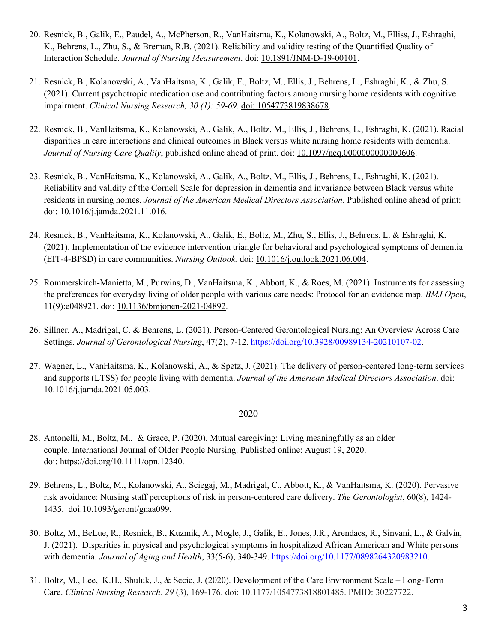- 20. Resnick, B., Galik, E., Paudel, A., McPherson, R., VanHaitsma, K., Kolanowski, A., Boltz, M., Elliss, J., Eshraghi, K., Behrens, L., Zhu, S., & Breman, R.B. (2021). Reliability and validity testing of the Quantified Quality of Interaction Schedule. *Journal of Nursing Measurement*. doi: 10.1891/JNM-D-19-00101.
- 21. Resnick, B., Kolanowski, A., VanHaitsma, K., Galik, E., Boltz, M., Ellis, J., Behrens, L., Eshraghi, K., & Zhu, S. (2021). Current psychotropic medication use and contributing factors among nursing home residents with cognitive impairment. *Clinical Nursing Research, 30 (1): 59-69.* doi: 1054773819838678.
- 22. Resnick, B., VanHaitsma, K., Kolanowski, A., Galik, A., Boltz, M., Ellis, J., Behrens, L., Eshraghi, K. (2021). Racial disparities in care interactions and clinical outcomes in Black versus white nursing home residents with dementia. *Journal of Nursing Care Quality*, published online ahead of print. doi: 10.1097/ncq.0000000000000606.
- 23. Resnick, B., VanHaitsma, K., Kolanowski, A., Galik, A., Boltz, M., Ellis, J., Behrens, L., Eshraghi, K. (2021). Reliability and validity of the Cornell Scale for depression in dementia and invariance between Black versus white residents in nursing homes. *Journal of the American Medical Directors Association*. Published online ahead of print: doi: 10.1016/j.jamda.2021.11.016.
- 24. Resnick, B., VanHaitsma, K., Kolanowski, A., Galik, E., Boltz, M., Zhu, S., Ellis, J., Behrens, L. & Eshraghi, K. (2021). Implementation of the evidence intervention triangle for behavioral and psychological symptoms of dementia (EIT-4-BPSD) in care communities. *Nursing Outlook.* doi: 10.1016/j.outlook.2021.06.004.
- 25. Rommerskirch-Manietta, M., Purwins, D., VanHaitsma, K., Abbott, K., & Roes, M. (2021). Instruments for assessing the preferences for everyday living of older people with various care needs: Protocol for an evidence map. *BMJ Open*, 11(9):e048921. doi: 10.1136/bmjopen-2021-04892.
- 26. Sillner, A., Madrigal, C. & Behrens, L. (2021). Person-Centered Gerontological Nursing: An Overview Across Care Settings. *Journal of Gerontological Nursing*, 47(2), 7-12. https://doi.org/10.3928/00989134-20210107-02.
- 27. Wagner, L., VanHaitsma, K., Kolanowski, A., & Spetz, J. (2021). The delivery of person-centered long-term services and supports (LTSS) for people living with dementia. *Journal of the American Medical Directors Association*. doi: 10.1016/j.jamda.2021.05.003.

- 28. Antonelli, M., Boltz, M., & Grace, P. (2020). Mutual caregiving: Living meaningfully as an older couple. International Journal of Older People Nursing. Published online: August 19, 2020. doi: https://doi.org/10.1111/opn.12340.
- 29. Behrens, L., Boltz, M., Kolanowski, A., Sciegaj, M., Madrigal, C., Abbott, K., & VanHaitsma, K. (2020). Pervasive risk avoidance: Nursing staff perceptions of risk in person-centered care delivery. *The Gerontologist*, 60(8), 1424- 1435. doi:10.1093/geront/gnaa099.
- 30. Boltz, M., BeLue, R., Resnick, B., Kuzmik, A., Mogle, J., Galik, E., Jones,J.R., Arendacs, R., Sinvani, L., & Galvin, J. (2021). Disparities in physical and psychological symptoms in hospitalized African American and White persons with dementia. *Journal of Aging and Health*, 33(5-6), 340-349. https://doi.org/10.1177/0898264320983210.
- 31. Boltz, M., Lee, K.H., Shuluk, J., & Secic, J. (2020). Development of the Care Environment Scale Long-Term Care. *Clinical Nursing Research. 29* (3), 169-176. doi: 10.1177/1054773818801485. PMID: 30227722.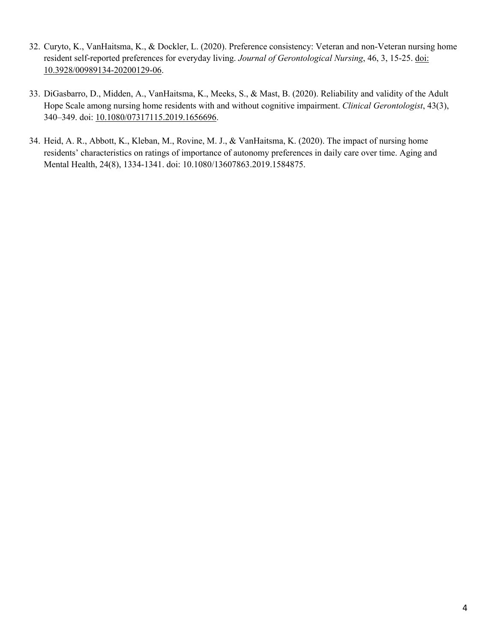- 32. Curyto, K., VanHaitsma, K., & Dockler, L. (2020). Preference consistency: Veteran and non-Veteran nursing home resident self-reported preferences for everyday living. *Journal of Gerontological Nursing*, 46, 3, 15-25. doi: 10.3928/00989134-20200129-06.
- 33. DiGasbarro, D., Midden, A., VanHaitsma, K., Meeks, S., & Mast, B. (2020). Reliability and validity of the Adult Hope Scale among nursing home residents with and without cognitive impairment. *Clinical Gerontologist*, 43(3), 340–349. doi: 10.1080/07317115.2019.1656696.
- 34. Heid, A. R., Abbott, K., Kleban, M., Rovine, M. J., & VanHaitsma, K. (2020). The impact of nursing home residents' characteristics on ratings of importance of autonomy preferences in daily care over time. Aging and Mental Health, 24(8), 1334-1341. doi: 10.1080/13607863.2019.1584875.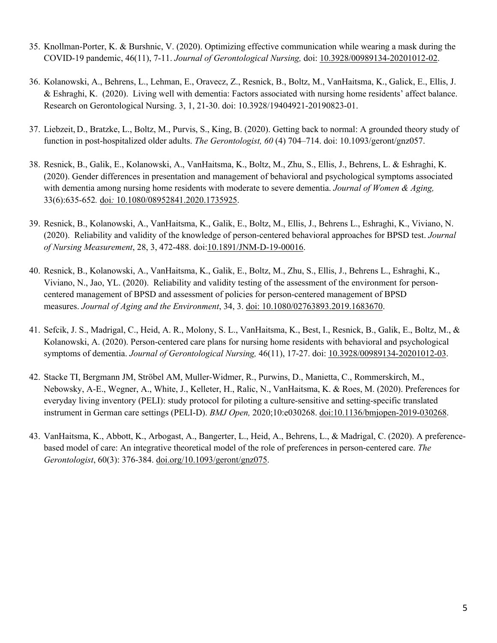- 35. Knollman-Porter, K. & Burshnic, V. (2020). Optimizing effective communication while wearing a mask during the COVID-19 pandemic, 46(11), 7-11. *Journal of Gerontological Nursing,* doi: 10.3928/00989134-20201012-02.
- 36. Kolanowski, A., Behrens, L., Lehman, E., Oravecz, Z., Resnick, B., Boltz, M., VanHaitsma, K., Galick, E., Ellis, J. & Eshraghi, K. (2020). Living well with dementia: Factors associated with nursing home residents' affect balance. Research on Gerontological Nursing. 3, 1, 21-30. doi: 10.3928/19404921-20190823-01.
- 37. Liebzeit, D., Bratzke, L., Boltz, M., Purvis, S., King, B. (2020). Getting back to normal: A grounded theory study of function in post-hospitalized older adults. *The Gerontologist, 60* (4) 704–714. doi: 10.1093/geront/gnz057.
- 38. Resnick, B., Galik, E., Kolanowski, A., VanHaitsma, K., Boltz, M., Zhu, S., Ellis, J., Behrens, L. & Eshraghi, K. (2020). Gender differences in presentation and management of behavioral and psychological symptoms associated with dementia among nursing home residents with moderate to severe dementia. *Journal of Women & Aging,* 33(6):635-652*.* doi*:* 10.1080/08952841.2020.1735925.
- 39. Resnick, B., Kolanowski, A., VanHaitsma, K., Galik, E., Boltz, M., Ellis, J., Behrens L., Eshraghi, K., Viviano, N. (2020). Reliability and validity of the knowledge of person-centered behavioral approaches for BPSD test. *Journal of Nursing Measurement*, 28, 3, 472-488. doi:10.1891/JNM-D-19-00016.
- 40. Resnick, B., Kolanowski, A., VanHaitsma, K., Galik, E., Boltz, M., Zhu, S., Ellis, J., Behrens L., Eshraghi, K., Viviano, N., Jao, YL. (2020). Reliability and validity testing of the assessment of the environment for personcentered management of BPSD and assessment of policies for person-centered management of BPSD measures. *Journal of Aging and the Environment*, 34, 3. doi: 10.1080/02763893.2019.1683670.
- 41. Sefcik, J. S., Madrigal, C., Heid, A. R., Molony, S. L., VanHaitsma, K., Best, I., Resnick, B., Galik, E., Boltz, M., & Kolanowski, A. (2020). Person-centered care plans for nursing home residents with behavioral and psychological symptoms of dementia. *Journal of Gerontological Nursing,* 46(11), 17-27. doi: 10.3928/00989134-20201012-03.
- 42. Stacke TI, Bergmann JM, Ströbel AM, Muller-Widmer, R., Purwins, D., Manietta, C., Rommerskirch, M., Nebowsky, A-E., Wegner, A., White, J., Kelleter, H., Ralic, N., VanHaitsma, K. & Roes, M. (2020). Preferences for everyday living inventory (PELI): study protocol for piloting a culture-sensitive and setting-specific translated instrument in German care settings (PELI-D). *BMJ Open,* 2020;10:e030268. doi:10.1136/bmjopen-2019-030268.
- 43. VanHaitsma, K., Abbott, K., Arbogast, A., Bangerter, L., Heid, A., Behrens, L., & Madrigal, C. (2020). A preferencebased model of care: An integrative theoretical model of the role of preferences in person-centered care. *The Gerontologist*, 60(3): 376-384. doi.org/10.1093/geront/gnz075.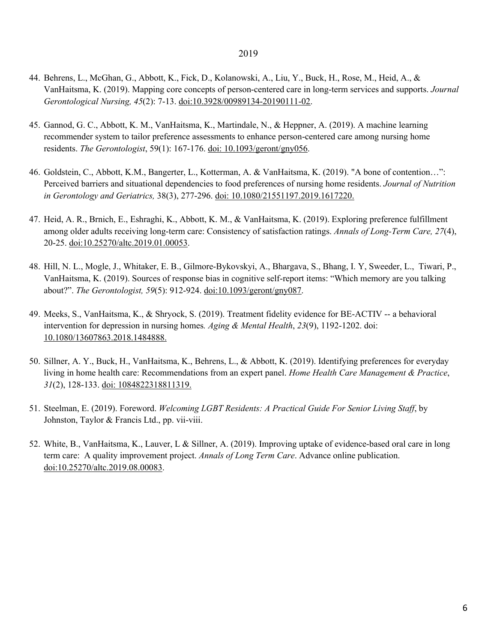- 44. Behrens, L., McGhan, G., Abbott, K., Fick, D., Kolanowski, A., Liu, Y., Buck, H., Rose, M., Heid, A., & VanHaitsma, K. (2019). Mapping core concepts of person-centered care in long-term services and supports. *Journal Gerontological Nursing, 45*(2): 7-13. doi:10.3928/00989134-20190111-02.
- 45. Gannod, G. C., Abbott, K. M., VanHaitsma, K., Martindale, N., & Heppner, A. (2019). A machine learning recommender system to tailor preference assessments to enhance person-centered care among nursing home residents. *The Gerontologist*, 59(1): 167-176. doi: 10.1093/geront/gny056.
- 46. Goldstein, C., Abbott, K.M., Bangerter, L., Kotterman, A. & VanHaitsma, K. (2019). "A bone of contention…": Perceived barriers and situational dependencies to food preferences of nursing home residents. *Journal of Nutrition in Gerontology and Geriatrics,* 38(3), 277-296. doi: 10.1080/21551197.2019.1617220.
- 47. Heid, A. R., Brnich, E., Eshraghi, K., Abbott, K. M., & VanHaitsma, K. (2019). Exploring preference fulfillment among older adults receiving long-term care: Consistency of satisfaction ratings. *Annals of Long-Term Care, 27*(4), 20-25. doi:10.25270/altc.2019.01.00053.
- 48. Hill, N. L., Mogle, J., Whitaker, E. B., Gilmore-Bykovskyi, A., Bhargava, S., Bhang, I. Y, Sweeder, L., Tiwari, P., VanHaitsma, K. (2019). Sources of response bias in cognitive self-report items: "Which memory are you talking about?". *The Gerontologist, 59*(5): 912-924. doi:10.1093/geront/gny087.
- 49. Meeks, S., VanHaitsma, K., & Shryock, S. (2019). Treatment fidelity evidence for BE-ACTIV -- a behavioral intervention for depression in nursing homes*. Aging & Mental Health*, *23*(9), 1192-1202. doi: 10.1080/13607863.2018.1484888.
- 50. Sillner, A. Y., Buck, H., VanHaitsma, K., Behrens, L., & Abbott, K. (2019). Identifying preferences for everyday living in home health care: Recommendations from an expert panel. *Home Health Care Management & Practice*, *31*(2), 128-133. doi: 1084822318811319.
- 51. Steelman, E. (2019). Foreword. *Welcoming LGBT Residents: A Practical Guide For Senior Living Staff*, by Johnston, Taylor & Francis Ltd., pp. vii-viii.
- 52. White, B., VanHaitsma, K., Lauver, L & Sillner, A. (2019). Improving uptake of evidence-based oral care in long term care: A quality improvement project. *Annals of Long Term Care*. Advance online publication. doi:10.25270/altc.2019.08.00083.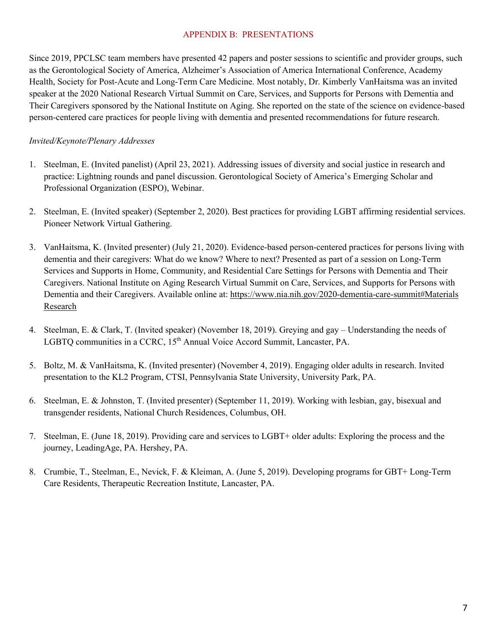#### APPENDIX B: PRESENTATIONS

Since 2019, PPCLSC team members have presented 42 papers and poster sessions to scientific and provider groups, such as the Gerontological Society of America, Alzheimer's Association of America International Conference, Academy Health, Society for Post-Acute and Long-Term Care Medicine. Most notably, Dr. Kimberly VanHaitsma was an invited speaker at the 2020 National Research Virtual Summit on Care, Services, and Supports for Persons with Dementia and Their Caregivers sponsored by the National Institute on Aging. She reported on the state of the science on evidence-based person-centered care practices for people living with dementia and presented recommendations for future research.

#### *Invited/Keynote/Plenary Addresses*

- 1. Steelman, E. (Invited panelist) (April 23, 2021). Addressing issues of diversity and social justice in research and practice: Lightning rounds and panel discussion. Gerontological Society of America's Emerging Scholar and Professional Organization (ESPO), Webinar.
- 2. Steelman, E. (Invited speaker) (September 2, 2020). Best practices for providing LGBT affirming residential services. Pioneer Network Virtual Gathering.
- 3. VanHaitsma, K. (Invited presenter) (July 21, 2020). Evidence-based person-centered practices for persons living with dementia and their caregivers: What do we know? Where to next? Presented as part of a session on Long-Term Services and Supports in Home, Community, and Residential Care Settings for Persons with Dementia and Their Caregivers. National Institute on Aging Research Virtual Summit on Care, Services, and Supports for Persons with Dementia and their Caregivers. Available online at: https://www.nia.nih.gov/2020-dementia-care-summit#Materials Research
- 4. Steelman, E. & Clark, T. (Invited speaker) (November 18, 2019). Greying and gay Understanding the needs of LGBTQ communities in a CCRC, 15<sup>th</sup> Annual Voice Accord Summit, Lancaster, PA.
- 5. Boltz, M. & VanHaitsma, K. (Invited presenter) (November 4, 2019). Engaging older adults in research. Invited presentation to the KL2 Program, CTSI, Pennsylvania State University, University Park, PA.
- 6. Steelman, E. & Johnston, T. (Invited presenter) (September 11, 2019). Working with lesbian, gay, bisexual and transgender residents, National Church Residences, Columbus, OH.
- 7. Steelman, E. (June 18, 2019). Providing care and services to LGBT+ older adults: Exploring the process and the journey, LeadingAge, PA. Hershey, PA.
- 8. Crumbie, T., Steelman, E., Nevick, F. & Kleiman, A. (June 5, 2019). Developing programs for GBT+ Long-Term Care Residents, Therapeutic Recreation Institute, Lancaster, PA.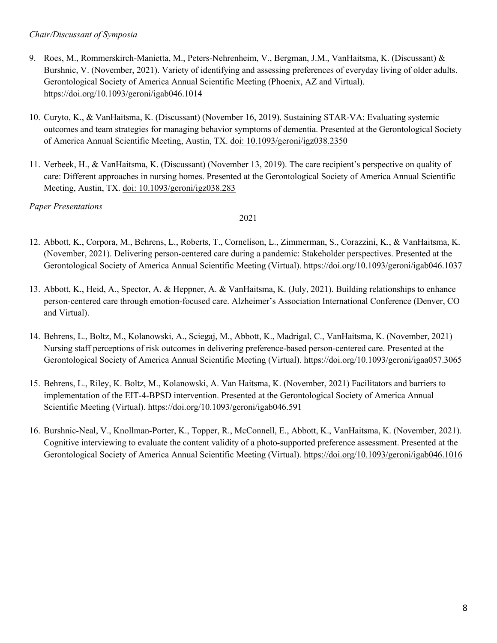### *Chair/Discussant of Symposia*

- 9. Roes, M., Rommerskirch-Manietta, M., Peters-Nehrenheim, V., Bergman, J.M., VanHaitsma, K. (Discussant) & Burshnic, V. (November, 2021). Variety of identifying and assessing preferences of everyday living of older adults. Gerontological Society of America Annual Scientific Meeting (Phoenix, AZ and Virtual). https://doi.org/10.1093/geroni/igab046.1014
- 10. Curyto, K., & VanHaitsma, K. (Discussant) (November 16, 2019). Sustaining STAR-VA: Evaluating systemic outcomes and team strategies for managing behavior symptoms of dementia. Presented at the Gerontological Society of America Annual Scientific Meeting, Austin, TX. doi: 10.1093/geroni/igz038.2350
- 11. Verbeek, H., & VanHaitsma, K. (Discussant) (November 13, 2019). The care recipient's perspective on quality of care: Different approaches in nursing homes. Presented at the Gerontological Society of America Annual Scientific Meeting, Austin, TX. doi: 10.1093/geroni/igz038.283

*Paper Presentations* 

- 12. Abbott, K., Corpora, M., Behrens, L., Roberts, T., Cornelison, L., Zimmerman, S., Corazzini, K., & VanHaitsma, K. (November, 2021). Delivering person-centered care during a pandemic: Stakeholder perspectives. Presented at the Gerontological Society of America Annual Scientific Meeting (Virtual). https://doi.org/10.1093/geroni/igab046.1037
- 13. Abbott, K., Heid, A., Spector, A. & Heppner, A. & VanHaitsma, K. (July, 2021). Building relationships to enhance person-centered care through emotion-focused care. Alzheimer's Association International Conference (Denver, CO and Virtual).
- 14. Behrens, L., Boltz, M., Kolanowski, A., Sciegaj, M., Abbott, K., Madrigal, C., VanHaitsma, K. (November, 2021) Nursing staff perceptions of risk outcomes in delivering preference-based person-centered care. Presented at the Gerontological Society of America Annual Scientific Meeting (Virtual). https://doi.org/10.1093/geroni/igaa057.3065
- 15. Behrens, L., Riley, K. Boltz, M., Kolanowski, A. Van Haitsma, K. (November, 2021) Facilitators and barriers to implementation of the EIT-4-BPSD intervention. Presented at the Gerontological Society of America Annual Scientific Meeting (Virtual). https://doi.org/10.1093/geroni/igab046.591
- 16. Burshnic-Neal, V., Knollman-Porter, K., Topper, R., McConnell, E., Abbott, K., VanHaitsma, K. (November, 2021). Cognitive interviewing to evaluate the content validity of a photo-supported preference assessment. Presented at the Gerontological Society of America Annual Scientific Meeting (Virtual). https://doi.org/10.1093/geroni/igab046.1016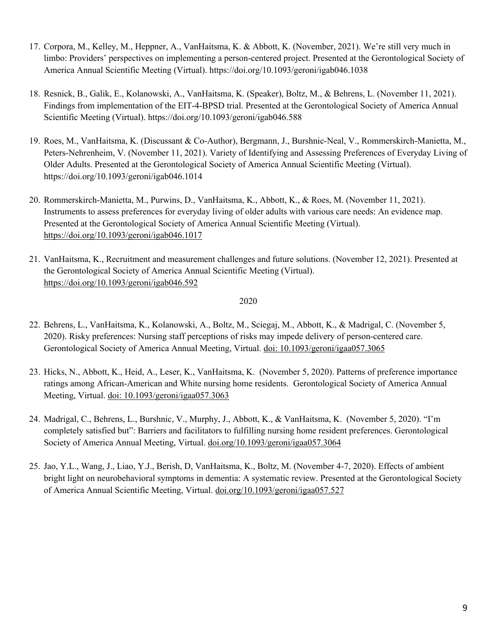- 17. Corpora, M., Kelley, M., Heppner, A., VanHaitsma, K. & Abbott, K. (November, 2021). We're still very much in limbo: Providers' perspectives on implementing a person-centered project. Presented at the Gerontological Society of America Annual Scientific Meeting (Virtual). https://doi.org/10.1093/geroni/igab046.1038
- 18. Resnick, B., Galik, E., Kolanowski, A., VanHaitsma, K. (Speaker), Boltz, M., & Behrens, L. (November 11, 2021). Findings from implementation of the EIT-4-BPSD trial. Presented at the Gerontological Society of America Annual Scientific Meeting (Virtual). https://doi.org/10.1093/geroni/igab046.588
- 19. Roes, M., VanHaitsma, K. (Discussant & Co-Author), Bergmann, J., Burshnic-Neal, V., Rommerskirch-Manietta, M., Peters-Nehrenheim, V. (November 11, 2021). Variety of Identifying and Assessing Preferences of Everyday Living of Older Adults. Presented at the Gerontological Society of America Annual Scientific Meeting (Virtual). https://doi.org/10.1093/geroni/igab046.1014
- 20. Rommerskirch-Manietta, M., Purwins, D., VanHaitsma, K., Abbott, K., & Roes, M. (November 11, 2021). Instruments to assess preferences for everyday living of older adults with various care needs: An evidence map. Presented at the Gerontological Society of America Annual Scientific Meeting (Virtual). https://doi.org/10.1093/geroni/igab046.1017
- 21. VanHaitsma, K., Recruitment and measurement challenges and future solutions. (November 12, 2021). Presented at the Gerontological Society of America Annual Scientific Meeting (Virtual). https://doi.org/10.1093/geroni/igab046.592

- 22. Behrens, L., VanHaitsma, K., Kolanowski, A., Boltz, M., Sciegaj, M., Abbott, K., & Madrigal, C. (November 5, 2020). Risky preferences: Nursing staff perceptions of risks may impede delivery of person-centered care. Gerontological Society of America Annual Meeting, Virtual. doi: 10.1093/geroni/igaa057.3065
- 23. Hicks, N., Abbott, K., Heid, A., Leser, K., VanHaitsma, K. (November 5, 2020). Patterns of preference importance ratings among African-American and White nursing home residents. Gerontological Society of America Annual Meeting, Virtual. doi: 10.1093/geroni/igaa057.3063
- 24. Madrigal, C., Behrens, L., Burshnic, V., Murphy, J., Abbott, K., & VanHaitsma, K. (November 5, 2020). "I'm completely satisfied but": Barriers and facilitators to fulfilling nursing home resident preferences. Gerontological Society of America Annual Meeting, Virtual. doi.org/10.1093/geroni/igaa057.3064
- 25. Jao, Y.L., Wang, J., Liao, Y.J., Berish, D, VanHaitsma, K., Boltz, M. (November 4-7, 2020). Effects of ambient bright light on neurobehavioral symptoms in dementia: A systematic review. Presented at the Gerontological Society of America Annual Scientific Meeting, Virtual. doi.org/10.1093/geroni/igaa057.527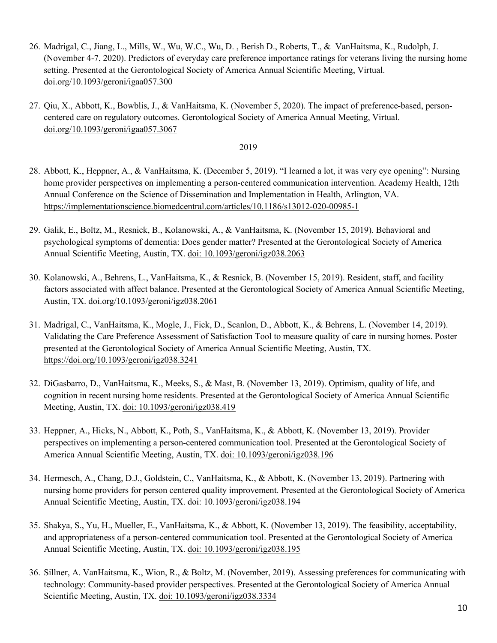- 26. Madrigal, C., Jiang, L., Mills, W., Wu, W.C., Wu, D. , Berish D., Roberts, T., & VanHaitsma, K., Rudolph, J. (November 4-7, 2020). Predictors of everyday care preference importance ratings for veterans living the nursing home setting. Presented at the Gerontological Society of America Annual Scientific Meeting, Virtual. doi.org/10.1093/geroni/igaa057.300
- 27. Qiu, X., Abbott, K., Bowblis, J., & VanHaitsma, K. (November 5, 2020). The impact of preference-based, personcentered care on regulatory outcomes. Gerontological Society of America Annual Meeting, Virtual. doi.org/10.1093/geroni/igaa057.3067

- 28. Abbott, K., Heppner, A., & VanHaitsma, K. (December 5, 2019). "I learned a lot, it was very eye opening": Nursing home provider perspectives on implementing a person-centered communication intervention. Academy Health, 12th Annual Conference on the Science of Dissemination and Implementation in Health, Arlington, VA. https://implementationscience.biomedcentral.com/articles/10.1186/s13012-020-00985-1
- 29. Galik, E., Boltz, M., Resnick, B., Kolanowski, A., & VanHaitsma, K. (November 15, 2019). Behavioral and psychological symptoms of dementia: Does gender matter? Presented at the Gerontological Society of America Annual Scientific Meeting, Austin, TX. doi: 10.1093/geroni/igz038.2063
- 30. Kolanowski, A., Behrens, L., VanHaitsma, K., & Resnick, B. (November 15, 2019). Resident, staff, and facility factors associated with affect balance. Presented at the Gerontological Society of America Annual Scientific Meeting, Austin, TX. doi.org/10.1093/geroni/igz038.2061
- 31. Madrigal, C., VanHaitsma, K., Mogle, J., Fick, D., Scanlon, D., Abbott, K., & Behrens, L. (November 14, 2019). Validating the Care Preference Assessment of Satisfaction Tool to measure quality of care in nursing homes. Poster presented at the Gerontological Society of America Annual Scientific Meeting, Austin, TX. https://doi.org/10.1093/geroni/igz038.3241
- 32. DiGasbarro, D., VanHaitsma, K., Meeks, S., & Mast, B. (November 13, 2019). Optimism, quality of life, and cognition in recent nursing home residents. Presented at the Gerontological Society of America Annual Scientific Meeting, Austin, TX. doi: 10.1093/geroni/igz038.419
- 33. Heppner, A., Hicks, N., Abbott, K., Poth, S., VanHaitsma, K., & Abbott, K. (November 13, 2019). Provider perspectives on implementing a person-centered communication tool. Presented at the Gerontological Society of America Annual Scientific Meeting, Austin, TX. doi: 10.1093/geroni/igz038.196
- 34. Hermesch, A., Chang, D.J., Goldstein, C., VanHaitsma, K., & Abbott, K. (November 13, 2019). Partnering with nursing home providers for person centered quality improvement. Presented at the Gerontological Society of America Annual Scientific Meeting, Austin, TX. doi: 10.1093/geroni/igz038.194
- 35. Shakya, S., Yu, H., Mueller, E., VanHaitsma, K., & Abbott, K. (November 13, 2019). The feasibility, acceptability, and appropriateness of a person-centered communication tool. Presented at the Gerontological Society of America Annual Scientific Meeting, Austin, TX. doi: 10.1093/geroni/igz038.195
- 36. Sillner, A. VanHaitsma, K., Wion, R., & Boltz, M. (November, 2019). Assessing preferences for communicating with technology: Community-based provider perspectives. Presented at the Gerontological Society of America Annual Scientific Meeting, Austin, TX. doi: 10.1093/geroni/igz038.3334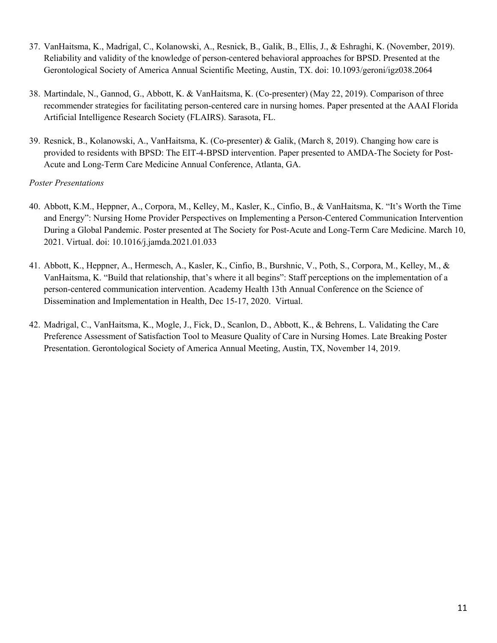- 37. VanHaitsma, K., Madrigal, C., Kolanowski, A., Resnick, B., Galik, B., Ellis, J., & Eshraghi, K. (November, 2019). Reliability and validity of the knowledge of person-centered behavioral approaches for BPSD. Presented at the Gerontological Society of America Annual Scientific Meeting, Austin, TX. doi: 10.1093/geroni/igz038.2064
- 38. Martindale, N., Gannod, G., Abbott, K. & VanHaitsma, K. (Co-presenter) (May 22, 2019). Comparison of three recommender strategies for facilitating person-centered care in nursing homes. Paper presented at the AAAI Florida Artificial Intelligence Research Society (FLAIRS). Sarasota, FL.
- 39. Resnick, B., Kolanowski, A., VanHaitsma, K. (Co-presenter) & Galik, (March 8, 2019). Changing how care is provided to residents with BPSD: The EIT-4-BPSD intervention. Paper presented to AMDA-The Society for Post-Acute and Long-Term Care Medicine Annual Conference, Atlanta, GA.

### *Poster Presentations*

- 40. Abbott, K.M., Heppner, A., Corpora, M., Kelley, M., Kasler, K., Cinfio, B., & VanHaitsma, K. "It's Worth the Time and Energy": Nursing Home Provider Perspectives on Implementing a Person-Centered Communication Intervention During a Global Pandemic. Poster presented at The Society for Post-Acute and Long-Term Care Medicine. March 10, 2021. Virtual. doi: 10.1016/j.jamda.2021.01.033
- 41. Abbott, K., Heppner, A., Hermesch, A., Kasler, K., Cinfio, B., Burshnic, V., Poth, S., Corpora, M., Kelley, M., & VanHaitsma, K. "Build that relationship, that's where it all begins": Staff perceptions on the implementation of a person-centered communication intervention. Academy Health 13th Annual Conference on the Science of Dissemination and Implementation in Health, Dec 15-17, 2020. Virtual.
- 42. Madrigal, C., VanHaitsma, K., Mogle, J., Fick, D., Scanlon, D., Abbott, K., & Behrens, L. Validating the Care Preference Assessment of Satisfaction Tool to Measure Quality of Care in Nursing Homes. Late Breaking Poster Presentation. Gerontological Society of America Annual Meeting, Austin, TX, November 14, 2019.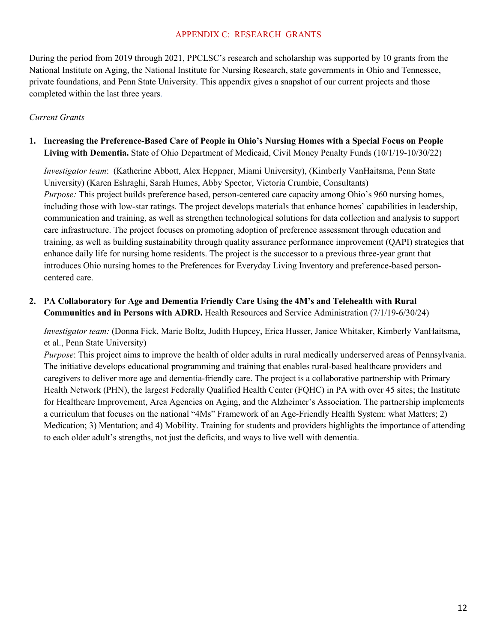#### APPENDIX C: RESEARCH GRANTS

During the period from 2019 through 2021, PPCLSC's research and scholarship was supported by 10 grants from the National Institute on Aging, the National Institute for Nursing Research, state governments in Ohio and Tennessee, private foundations, and Penn State University. This appendix gives a snapshot of our current projects and those completed within the last three years.

### *Current Grants*

**1. Increasing the Preference-Based Care of People in Ohio's Nursing Homes with a Special Focus on People Living with Dementia.** State of Ohio Department of Medicaid, Civil Money Penalty Funds (10/1/19-10/30/22)

*Investigator team*: (Katherine Abbott, Alex Heppner, Miami University), (Kimberly VanHaitsma, Penn State University) (Karen Eshraghi, Sarah Humes, Abby Spector, Victoria Crumbie, Consultants) *Purpose:* This project builds preference based, person-centered care capacity among Ohio's 960 nursing homes, including those with low-star ratings. The project develops materials that enhance homes' capabilities in leadership, communication and training, as well as strengthen technological solutions for data collection and analysis to support care infrastructure. The project focuses on promoting adoption of preference assessment through education and training, as well as building sustainability through quality assurance performance improvement (QAPI) strategies that enhance daily life for nursing home residents. The project is the successor to a previous three-year grant that introduces Ohio nursing homes to the Preferences for Everyday Living Inventory and preference-based personcentered care.

**2. PA Collaboratory for Age and Dementia Friendly Care Using the 4M's and Telehealth with Rural Communities and in Persons with ADRD.** Health Resources and Service Administration (7/1/19-6/30/24)

*Investigator team:* (Donna Fick, Marie Boltz, Judith Hupcey, Erica Husser, Janice Whitaker, Kimberly VanHaitsma, et al., Penn State University)

*Purpose*: This project aims to improve the health of older adults in rural medically underserved areas of Pennsylvania. The initiative develops educational programming and training that enables rural-based healthcare providers and caregivers to deliver more age and dementia-friendly care. The project is a collaborative partnership with Primary Health Network (PHN), the largest Federally Qualified Health Center (FQHC) in PA with over 45 sites; the Institute for Healthcare Improvement, Area Agencies on Aging, and the Alzheimer's Association. The partnership implements a curriculum that focuses on the national "4Ms" Framework of an Age-Friendly Health System: what Matters; 2) Medication; 3) Mentation; and 4) Mobility. Training for students and providers highlights the importance of attending to each older adult's strengths, not just the deficits, and ways to live well with dementia.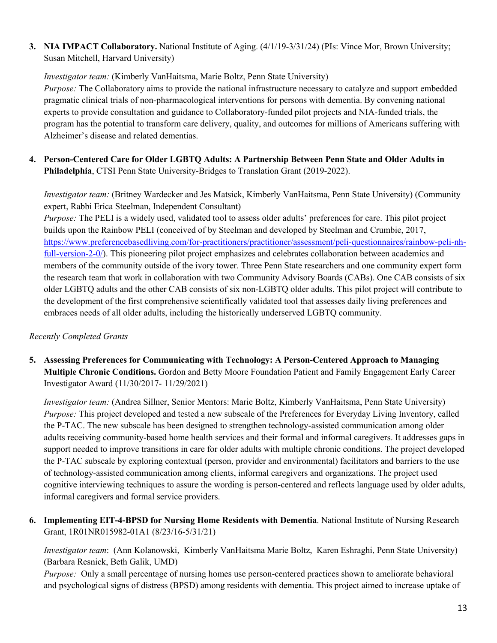**3. NIA IMPACT Collaboratory.** National Institute of Aging. (4/1/19-3/31/24) (PIs: Vince Mor, Brown University; Susan Mitchell, Harvard University)

*Investigator team:* (Kimberly VanHaitsma, Marie Boltz, Penn State University)

*Purpose:* The Collaboratory aims to provide the national infrastructure necessary to catalyze and support embedded pragmatic clinical trials of non-pharmacological interventions for persons with dementia. By convening national experts to provide consultation and guidance to Collaboratory-funded pilot projects and NIA-funded trials, the program has the potential to transform care delivery, quality, and outcomes for millions of Americans suffering with Alzheimer's disease and related dementias.

**4. Person-Centered Care for Older LGBTQ Adults: A Partnership Between Penn State and Older Adults in Philadelphia**, CTSI Penn State University-Bridges to Translation Grant (2019-2022).

*Investigator team:* (Britney Wardecker and Jes Matsick, Kimberly VanHaitsma, Penn State University) (Community expert, Rabbi Erica Steelman, Independent Consultant)

*Purpose:* The PELI is a widely used, validated tool to assess older adults' preferences for care. This pilot project builds upon the Rainbow PELI (conceived of by Steelman and developed by Steelman and Crumbie, 2017, https://www.preferencebasedliving.com/for-practitioners/practitioner/assessment/peli-questionnaires/rainbow-peli-nhfull-version-2-0/). This pioneering pilot project emphasizes and celebrates collaboration between academics and members of the community outside of the ivory tower. Three Penn State researchers and one community expert form the research team that work in collaboration with two Community Advisory Boards (CABs). One CAB consists of six older LGBTQ adults and the other CAB consists of six non-LGBTQ older adults. This pilot project will contribute to the development of the first comprehensive scientifically validated tool that assesses daily living preferences and embraces needs of all older adults, including the historically underserved LGBTQ community.

# *Recently Completed Grants*

**5. Assessing Preferences for Communicating with Technology: A Person-Centered Approach to Managing Multiple Chronic Conditions.** Gordon and Betty Moore Foundation Patient and Family Engagement Early Career Investigator Award (11/30/2017- 11/29/2021)

*Investigator team:* (Andrea Sillner, Senior Mentors: Marie Boltz, Kimberly VanHaitsma, Penn State University) *Purpose:* This project developed and tested a new subscale of the Preferences for Everyday Living Inventory, called the P-TAC. The new subscale has been designed to strengthen technology-assisted communication among older adults receiving community-based home health services and their formal and informal caregivers. It addresses gaps in support needed to improve transitions in care for older adults with multiple chronic conditions. The project developed the P-TAC subscale by exploring contextual (person, provider and environmental) facilitators and barriers to the use of technology-assisted communication among clients, informal caregivers and organizations. The project used cognitive interviewing techniques to assure the wording is person-centered and reflects language used by older adults, informal caregivers and formal service providers.

**6. Implementing EIT-4-BPSD for Nursing Home Residents with Dementia**. National Institute of Nursing Research Grant, 1R01NR015982-01A1 (8/23/16-5/31/21)

*Investigator team*: (Ann Kolanowski, Kimberly VanHaitsma Marie Boltz, Karen Eshraghi, Penn State University) (Barbara Resnick, Beth Galik, UMD)

*Purpose:* Only a small percentage of nursing homes use person-centered practices shown to ameliorate behavioral and psychological signs of distress (BPSD) among residents with dementia. This project aimed to increase uptake of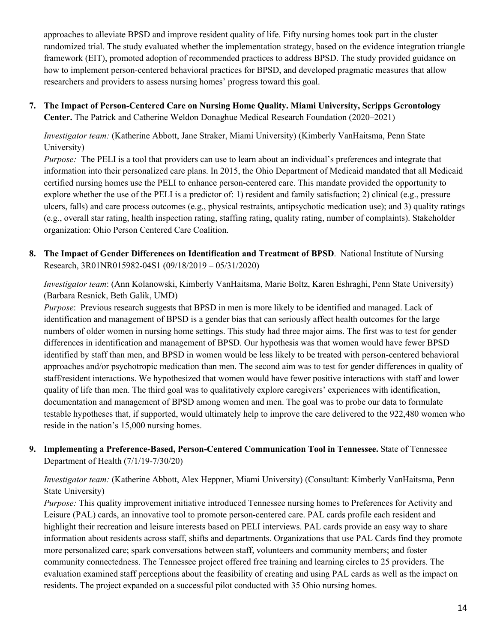approaches to alleviate BPSD and improve resident quality of life. Fifty nursing homes took part in the cluster randomized trial. The study evaluated whether the implementation strategy, based on the evidence integration triangle framework (EIT), promoted adoption of recommended practices to address BPSD. The study provided guidance on how to implement person-centered behavioral practices for BPSD, and developed pragmatic measures that allow researchers and providers to assess nursing homes' progress toward this goal.

**7. The Impact of Person-Centered Care on Nursing Home Quality. Miami University, Scripps Gerontology Center.** The Patrick and Catherine Weldon Donaghue Medical Research Foundation (2020–2021)

*Investigator team:* (Katherine Abbott, Jane Straker, Miami University) (Kimberly VanHaitsma, Penn State University)

*Purpose:* The PELI is a tool that providers can use to learn about an individual's preferences and integrate that information into their personalized care plans. In 2015, the Ohio Department of Medicaid mandated that all Medicaid certified nursing homes use the PELI to enhance person-centered care. This mandate provided the opportunity to explore whether the use of the PELI is a predictor of: 1) resident and family satisfaction; 2) clinical (e.g., pressure ulcers, falls) and care process outcomes (e.g., physical restraints, antipsychotic medication use); and 3) quality ratings (e.g., overall star rating, health inspection rating, staffing rating, quality rating, number of complaints). Stakeholder organization: Ohio Person Centered Care Coalition.

**8. The Impact of Gender Differences on Identification and Treatment of BPSD**. National Institute of Nursing Research, 3R01NR015982-04S1 (09/18/2019 – 05/31/2020)

*Investigator team*: (Ann Kolanowski, Kimberly VanHaitsma, Marie Boltz, Karen Eshraghi, Penn State University) (Barbara Resnick, Beth Galik, UMD)

*Purpose*: Previous research suggests that BPSD in men is more likely to be identified and managed. Lack of identification and management of BPSD is a gender bias that can seriously affect health outcomes for the large numbers of older women in nursing home settings. This study had three major aims. The first was to test for gender differences in identification and management of BPSD. Our hypothesis was that women would have fewer BPSD identified by staff than men, and BPSD in women would be less likely to be treated with person-centered behavioral approaches and/or psychotropic medication than men. The second aim was to test for gender differences in quality of staff/resident interactions. We hypothesized that women would have fewer positive interactions with staff and lower quality of life than men. The third goal was to qualitatively explore caregivers' experiences with identification, documentation and management of BPSD among women and men. The goal was to probe our data to formulate testable hypotheses that, if supported, would ultimately help to improve the care delivered to the 922,480 women who reside in the nation's 15,000 nursing homes.

**9. Implementing a Preference-Based, Person-Centered Communication Tool in Tennessee.** State of Tennessee Department of Health (7/1/19-7/30/20)

*Investigator team:* (Katherine Abbott, Alex Heppner, Miami University) (Consultant: Kimberly VanHaitsma, Penn State University)

*Purpose:* This quality improvement initiative introduced Tennessee nursing homes to Preferences for Activity and Leisure (PAL) cards, an innovative tool to promote person-centered care. PAL cards profile each resident and highlight their recreation and leisure interests based on PELI interviews. PAL cards provide an easy way to share information about residents across staff, shifts and departments. Organizations that use PAL Cards find they promote more personalized care; spark conversations between staff, volunteers and community members; and foster community connectedness. The Tennessee project offered free training and learning circles to 25 providers. The evaluation examined staff perceptions about the feasibility of creating and using PAL cards as well as the impact on residents. The project expanded on a successful pilot conducted with 35 Ohio nursing homes.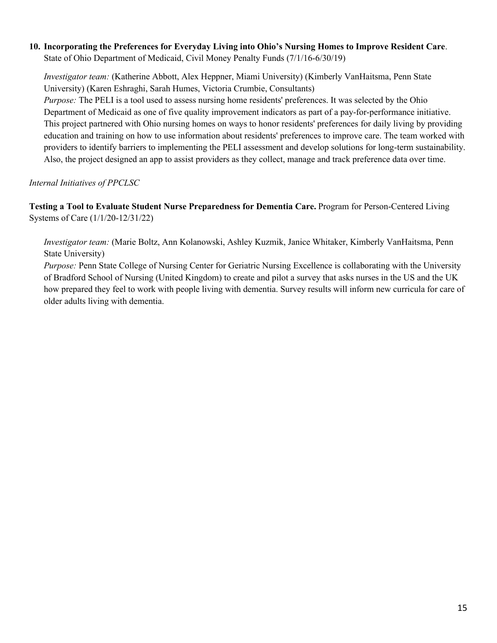### **10. Incorporating the Preferences for Everyday Living into Ohio's Nursing Homes to Improve Resident Care**. State of Ohio Department of Medicaid, Civil Money Penalty Funds (7/1/16-6/30/19)

*Investigator team:* (Katherine Abbott, Alex Heppner, Miami University) (Kimberly VanHaitsma, Penn State University) (Karen Eshraghi, Sarah Humes, Victoria Crumbie, Consultants)

*Purpose:* The PELI is a tool used to assess nursing home residents' preferences. It was selected by the Ohio Department of Medicaid as one of five quality improvement indicators as part of a pay-for-performance initiative. This project partnered with Ohio nursing homes on ways to honor residents' preferences for daily living by providing education and training on how to use information about residents' preferences to improve care. The team worked with providers to identify barriers to implementing the PELI assessment and develop solutions for long-term sustainability. Also, the project designed an app to assist providers as they collect, manage and track preference data over time.

*Internal Initiatives of PPCLSC*

**Testing a Tool to Evaluate Student Nurse Preparedness for Dementia Care.** Program for Person-Centered Living Systems of Care (1/1/20-12/31/22)

*Investigator team:* (Marie Boltz, Ann Kolanowski, Ashley Kuzmik, Janice Whitaker, Kimberly VanHaitsma, Penn State University)

*Purpose:* Penn State College of Nursing Center for Geriatric Nursing Excellence is collaborating with the University of Bradford School of Nursing (United Kingdom) to create and pilot a survey that asks nurses in the US and the UK how prepared they feel to work with people living with dementia. Survey results will inform new curricula for care of older adults living with dementia.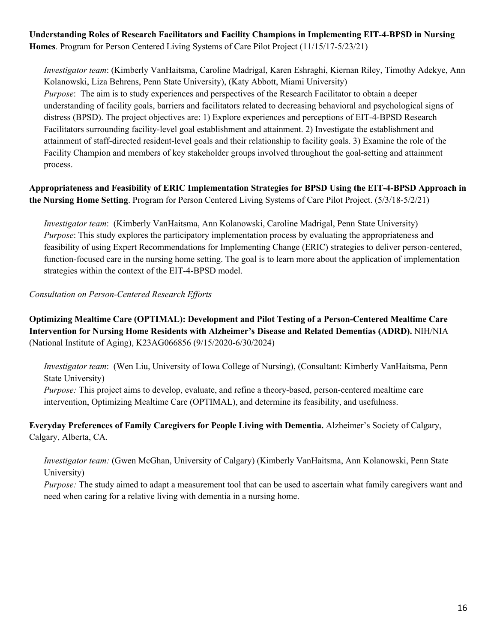**Understanding Roles of Research Facilitators and Facility Champions in Implementing EIT-4-BPSD in Nursing Homes**. Program for Person Centered Living Systems of Care Pilot Project (11/15/17-5/23/21)

*Investigator team*: (Kimberly VanHaitsma, Caroline Madrigal, Karen Eshraghi, Kiernan Riley, Timothy Adekye, Ann Kolanowski, Liza Behrens, Penn State University), (Katy Abbott, Miami University) *Purpose*: The aim is to study experiences and perspectives of the Research Facilitator to obtain a deeper understanding of facility goals, barriers and facilitators related to decreasing behavioral and psychological signs of distress (BPSD). The project objectives are: 1) Explore experiences and perceptions of EIT-4-BPSD Research Facilitators surrounding facility-level goal establishment and attainment. 2) Investigate the establishment and attainment of staff-directed resident-level goals and their relationship to facility goals. 3) Examine the role of the Facility Champion and members of key stakeholder groups involved throughout the goal-setting and attainment process.

**Appropriateness and Feasibility of ERIC Implementation Strategies for BPSD Using the EIT-4-BPSD Approach in the Nursing Home Setting**. Program for Person Centered Living Systems of Care Pilot Project. (5/3/18-5/2/21)

*Investigator team*: (Kimberly VanHaitsma, Ann Kolanowski, Caroline Madrigal, Penn State University) *Purpose*: This study explores the participatory implementation process by evaluating the appropriateness and feasibility of using Expert Recommendations for Implementing Change (ERIC) strategies to deliver person-centered, function-focused care in the nursing home setting. The goal is to learn more about the application of implementation strategies within the context of the EIT-4-BPSD model.

*Consultation on Person-Centered Research Efforts*

**Optimizing Mealtime Care (OPTIMAL): Development and Pilot Testing of a Person-Centered Mealtime Care Intervention for Nursing Home Residents with Alzheimer's Disease and Related Dementias (ADRD).** NIH/NIA (National Institute of Aging), K23AG066856 (9/15/2020-6/30/2024)

*Investigator team*: (Wen Liu, University of Iowa College of Nursing), (Consultant: Kimberly VanHaitsma, Penn State University)

*Purpose:* This project aims to develop, evaluate, and refine a theory-based, person-centered mealtime care intervention, Optimizing Mealtime Care (OPTIMAL), and determine its feasibility, and usefulness.

**Everyday Preferences of Family Caregivers for People Living with Dementia.** Alzheimer's Society of Calgary, Calgary, Alberta, CA.

*Investigator team:* (Gwen McGhan, University of Calgary) (Kimberly VanHaitsma, Ann Kolanowski, Penn State University)

*Purpose:* The study aimed to adapt a measurement tool that can be used to ascertain what family caregivers want and need when caring for a relative living with dementia in a nursing home.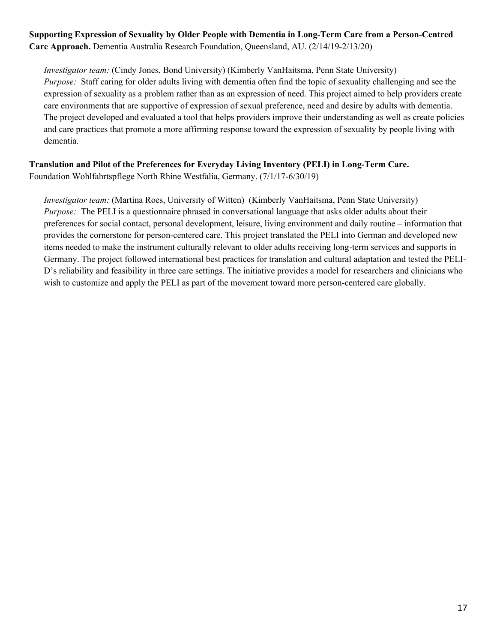## **Supporting Expression of Sexuality by Older People with Dementia in Long-Term Care from a Person-Centred Care Approach.** Dementia Australia Research Foundation, Queensland, AU. (2/14/19-2/13/20)

*Investigator team:* (Cindy Jones, Bond University) (Kimberly VanHaitsma, Penn State University) *Purpose:* Staff caring for older adults living with dementia often find the topic of sexuality challenging and see the expression of sexuality as a problem rather than as an expression of need. This project aimed to help providers create care environments that are supportive of expression of sexual preference, need and desire by adults with dementia. The project developed and evaluated a tool that helps providers improve their understanding as well as create policies and care practices that promote a more affirming response toward the expression of sexuality by people living with dementia.

# **Translation and Pilot of the Preferences for Everyday Living Inventory (PELI) in Long-Term Care.**

Foundation Wohlfahrtspflege North Rhine Westfalia, Germany. (7/1/17-6/30/19)

*Investigator team:* (Martina Roes, University of Witten) (Kimberly VanHaitsma, Penn State University) *Purpose:* The PELI is a questionnaire phrased in conversational language that asks older adults about their preferences for social contact, personal development, leisure, living environment and daily routine – information that provides the cornerstone for person-centered care. This project translated the PELI into German and developed new items needed to make the instrument culturally relevant to older adults receiving long-term services and supports in Germany. The project followed international best practices for translation and cultural adaptation and tested the PELI-D's reliability and feasibility in three care settings. The initiative provides a model for researchers and clinicians who wish to customize and apply the PELI as part of the movement toward more person-centered care globally.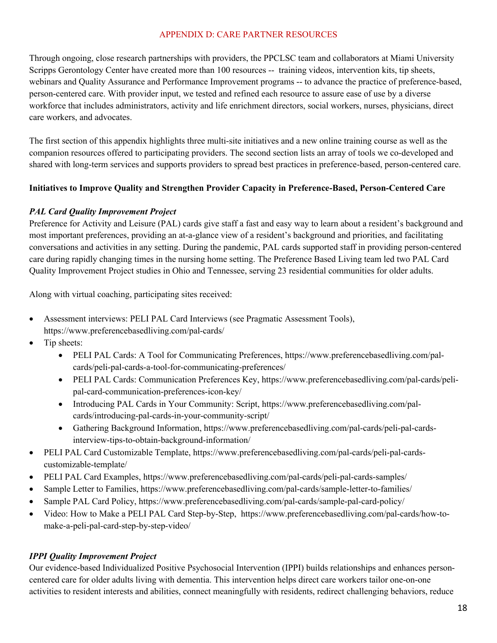### APPENDIX D: CARE PARTNER RESOURCES

Through ongoing, close research partnerships with providers, the PPCLSC team and collaborators at Miami University Scripps Gerontology Center have created more than 100 resources -- training videos, intervention kits, tip sheets, webinars and Quality Assurance and Performance Improvement programs -- to advance the practice of preference-based, person-centered care. With provider input, we tested and refined each resource to assure ease of use by a diverse workforce that includes administrators, activity and life enrichment directors, social workers, nurses, physicians, direct care workers, and advocates.

The first section of this appendix highlights three multi-site initiatives and a new online training course as well as the companion resources offered to participating providers. The second section lists an array of tools we co-developed and shared with long-term services and supports providers to spread best practices in preference-based, person-centered care.

## **Initiatives to Improve Quality and Strengthen Provider Capacity in Preference-Based, Person-Centered Care**

## *PAL Card Quality Improvement Project*

Preference for Activity and Leisure (PAL) cards give staff a fast and easy way to learn about a resident's background and most important preferences, providing an at-a-glance view of a resident's background and priorities, and facilitating conversations and activities in any setting. During the pandemic, PAL cards supported staff in providing person-centered care during rapidly changing times in the nursing home setting. The Preference Based Living team led two PAL Card Quality Improvement Project studies in Ohio and Tennessee, serving 23 residential communities for older adults.

Along with virtual coaching, participating sites received:

- Assessment interviews: PELI PAL Card Interviews (see Pragmatic Assessment Tools), https://www.preferencebasedliving.com/pal-cards/
- Tip sheets:
	- PELI PAL Cards: A Tool for Communicating Preferences, https://www.preferencebasedliving.com/palcards/peli-pal-cards-a-tool-for-communicating-preferences/
	- PELI PAL Cards: Communication Preferences Key, https://www.preferencebasedliving.com/pal-cards/pelipal-card-communication-preferences-icon-key/
	- Introducing PAL Cards in Your Community: Script, https://www.preferencebasedliving.com/palcards/introducing-pal-cards-in-your-community-script/
	- Gathering Background Information, https://www.preferencebasedliving.com/pal-cards/peli-pal-cardsinterview-tips-to-obtain-background-information/
- PELI PAL Card Customizable Template, https://www.preferencebasedliving.com/pal-cards/peli-pal-cardscustomizable-template/
- PELI PAL Card Examples, https://www.preferencebasedliving.com/pal-cards/peli-pal-cards-samples/
- Sample Letter to Families, https://www.preferencebasedliving.com/pal-cards/sample-letter-to-families/
- Sample PAL Card Policy, https://www.preferencebasedliving.com/pal-cards/sample-pal-card-policy/
- Video: How to Make a PELI PAL Card Step-by-Step, https://www.preferencebasedliving.com/pal-cards/how-tomake-a-peli-pal-card-step-by-step-video/

### *IPPI Quality Improvement Project*

Our evidence-based Individualized Positive Psychosocial Intervention (IPPI) builds relationships and enhances personcentered care for older adults living with dementia. This intervention helps direct care workers tailor one-on-one activities to resident interests and abilities, connect meaningfully with residents, redirect challenging behaviors, reduce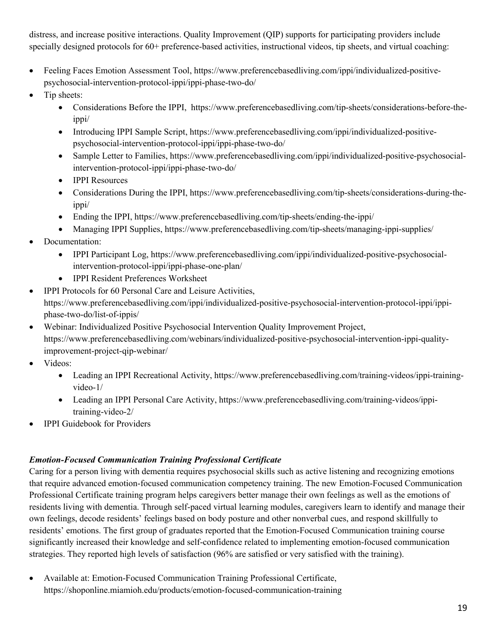distress, and increase positive interactions. Quality Improvement (QIP) supports for participating providers include specially designed protocols for 60+ preference-based activities, instructional videos, tip sheets, and virtual coaching:

- Feeling Faces Emotion Assessment Tool, https://www.preferencebasedliving.com/ippi/individualized-positivepsychosocial-intervention-protocol-ippi/ippi-phase-two-do/
- Tip sheets:
	- Considerations Before the IPPI, https://www.preferencebasedliving.com/tip-sheets/considerations-before-theippi/
	- Introducing IPPI Sample Script, https://www.preferencebasedliving.com/ippi/individualized-positivepsychosocial-intervention-protocol-ippi/ippi-phase-two-do/
	- Sample Letter to Families, https://www.preferencebasedliving.com/ippi/individualized-positive-psychosocialintervention-protocol-ippi/ippi-phase-two-do/
	- IPPI Resources
	- Considerations During the IPPI, https://www.preferencebasedliving.com/tip-sheets/considerations-during-theippi/
	- Ending the IPPI, https://www.preferencebasedliving.com/tip-sheets/ending-the-ippi/
	- Managing IPPI Supplies, https://www.preferencebasedliving.com/tip-sheets/managing-ippi-supplies/
- Documentation:
	- IPPI Participant Log, https://www.preferencebasedliving.com/ippi/individualized-positive-psychosocialintervention-protocol-ippi/ippi-phase-one-plan/
	- IPPI Resident Preferences Worksheet
- IPPI Protocols for 60 Personal Care and Leisure Activities, https://www.preferencebasedliving.com/ippi/individualized-positive-psychosocial-intervention-protocol-ippi/ippiphase-two-do/list-of-ippis/
- Webinar: Individualized Positive Psychosocial Intervention Quality Improvement Project, https://www.preferencebasedliving.com/webinars/individualized-positive-psychosocial-intervention-ippi-qualityimprovement-project-qip-webinar/
- Videos:
	- Leading an IPPI Recreational Activity, https://www.preferencebasedliving.com/training-videos/ippi-trainingvideo-1/
	- Leading an IPPI Personal Care Activity, https://www.preferencebasedliving.com/training-videos/ippitraining-video-2/
- IPPI Guidebook for Providers

# *Emotion-Focused Communication Training Professional Certificate*

Caring for a person living with dementia requires psychosocial skills such as active listening and recognizing emotions that require advanced emotion-focused communication competency training. The new Emotion-Focused Communication Professional Certificate training program helps caregivers better manage their own feelings as well as the emotions of residents living with dementia. Through self-paced virtual learning modules, caregivers learn to identify and manage their own feelings, decode residents' feelings based on body posture and other nonverbal cues, and respond skillfully to residents' emotions. The first group of graduates reported that the Emotion-Focused Communication training course significantly increased their knowledge and self-confidence related to implementing emotion-focused communication strategies. They reported high levels of satisfaction (96% are satisfied or very satisfied with the training).

• Available at: Emotion-Focused Communication Training Professional Certificate, https://shoponline.miamioh.edu/products/emotion-focused-communication-training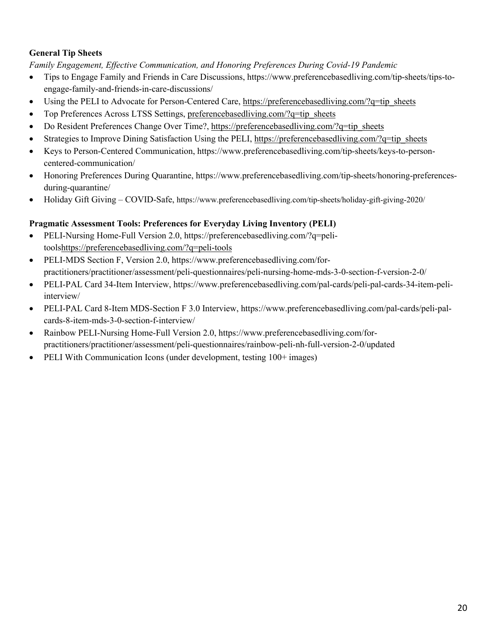## **General Tip Sheets**

*Family Engagement, Effective Communication, and Honoring Preferences During Covid-19 Pandemic*

- Tips to Engage Family and Friends in Care Discussions, https://www.preferencebasedliving.com/tip-sheets/tips-toengage-family-and-friends-in-care-discussions/
- Using the PELI to Advocate for Person-Centered Care, https://preferencebasedliving.com/?q=tip\_sheets
- Top Preferences Across LTSS Settings, preferencebasedliving.com/?q=tip\_sheets
- Do Resident Preferences Change Over Time?, https://preferencebasedliving.com/?q=tip\_sheets
- Strategies to Improve Dining Satisfaction Using the PELI, https://preferencebasedliving.com/?q=tip\_sheets
- Keys to Person-Centered Communication, https://www.preferencebasedliving.com/tip-sheets/keys-to-personcentered-communication/
- Honoring Preferences During Quarantine, https://www.preferencebasedliving.com/tip-sheets/honoring-preferencesduring-quarantine/
- Holiday Gift Giving COVID-Safe, https://www.preferencebasedliving.com/tip-sheets/holiday-gift-giving-2020/

## **Pragmatic Assessment Tools: Preferences for Everyday Living Inventory (PELI)**

- PELI-Nursing Home-Full Version 2.0, https://preferencebasedliving.com/?q=pelitoolshttps://preferencebasedliving.com/?q=peli-tools
- PELI-MDS Section F, Version 2.0, https://www.preferencebasedliving.com/forpractitioners/practitioner/assessment/peli-questionnaires/peli-nursing-home-mds-3-0-section-f-version-2-0/
- PELI-PAL Card 34-Item Interview, https://www.preferencebasedliving.com/pal-cards/peli-pal-cards-34-item-peliinterview/
- PELI-PAL Card 8-Item MDS-Section F 3.0 Interview, https://www.preferencebasedliving.com/pal-cards/peli-palcards-8-item-mds-3-0-section-f-interview/
- Rainbow PELI-Nursing Home-Full Version 2.0, https://www.preferencebasedliving.com/forpractitioners/practitioner/assessment/peli-questionnaires/rainbow-peli-nh-full-version-2-0/updated
- PELI With Communication Icons (under development, testing 100+ images)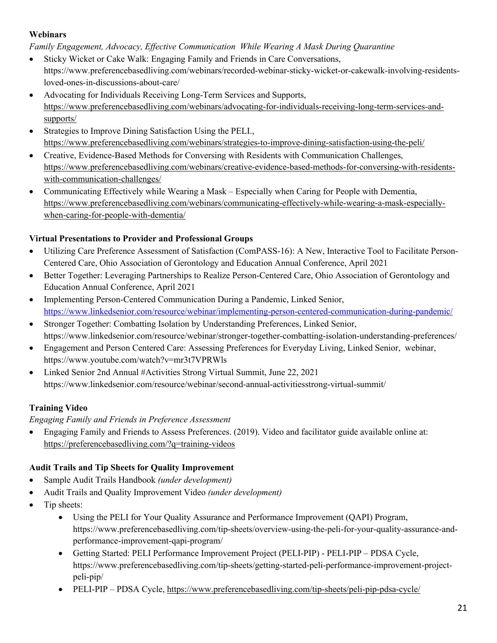## **Webinars**

*Family Engagement, Advocacy, Effective Communication While Wearing A Mask During Quarantine*

- Sticky Wicket or Cake Walk: Engaging Family and Friends in Care Conversations, https://www.preferencebasedliving.com/webinars/recorded-webinar-sticky-wicket-or-cakewalk-involving-residentsloved-ones-in-discussions-about-care/
- Advocating for Individuals Receiving Long-Term Services and Supports, https://www.preferencebasedliving.com/webinars/advocating-for-individuals-receiving-long-term-services-andsupports/
- Strategies to Improve Dining Satisfaction Using the PELI.. https://www.preferencebasedliving.com/webinars/strategies-to-improve-dining-satisfaction-using-the-peli/
- Creative, Evidence-Based Methods for Conversing with Residents with Communication Challenges, https://www.preferencebasedliving.com/webinars/creative-evidence-based-methods-for-conversing-with-residentswith-communication-challenges/
- Communicating Effectively while Wearing a Mask Especially when Caring for People with Dementia, https://www.preferencebasedliving.com/webinars/communicating-effectively-while-wearing-a-mask-especiallywhen-caring-for-people-with-dementia/

# **Virtual Presentations to Provider and Professional Groups**

- Utilizing Care Preference Assessment of Satisfaction (ComPASS-16): A New, Interactive Tool to Facilitate Person-Centered Care, Ohio Association of Gerontology and Education Annual Conference, April 2021
- Better Together: Leveraging Partnerships to Realize Person-Centered Care, Ohio Association of Gerontology and Education Annual Conference, April 2021
- Implementing Person-Centered Communication During a Pandemic, Linked Senior, https://www.linkedsenior.com/resource/webinar/implementing-person-centered-communication-during-pandemic/
- Stronger Together: Combatting Isolation by Understanding Preferences, Linked Senior, https://www.linkedsenior.com/resource/webinar/stronger-together-combatting-isolation-understanding-preferences/
- Engagement and Person Centered Care: Assessing Preferences for Everyday Living, Linked Senior, webinar, https://www.youtube.com/watch?v=mr3t7VPRWls
- Linked Senior 2nd Annual #Activities Strong Virtual Summit, June 22, 2021 https://www.linkedsenior.com/resource/webinar/second-annual-activitiesstrong-virtual-summit/

# **Training Video**

# *Engaging Family and Friends in Preference Assessment*

• Engaging Family and Friends to Assess Preferences. (2019). Video and facilitator guide available online at: https://preferencebasedliving.com/?q=training-videos

# **Audit Trails and Tip Sheets for Quality Improvement**

- Sample Audit Trails Handbook *(under development)*
- Audit Trails and Quality Improvement Video *(under development)*
- Tip sheets:
	- Using the PELI for Your Quality Assurance and Performance Improvement (QAPI) Program, https://www.preferencebasedliving.com/tip-sheets/overview-using-the-peli-for-your-quality-assurance-andperformance-improvement-qapi-program/
	- Getting Started: PELI Performance Improvement Project (PELI-PIP) PELI-PIP PDSA Cycle, https://www.preferencebasedliving.com/tip-sheets/getting-started-peli-performance-improvement-projectpeli-pip/
	- PELI-PIP PDSA Cycle, https://www.preferencebasedliving.com/tip-sheets/peli-pip-pdsa-cycle/